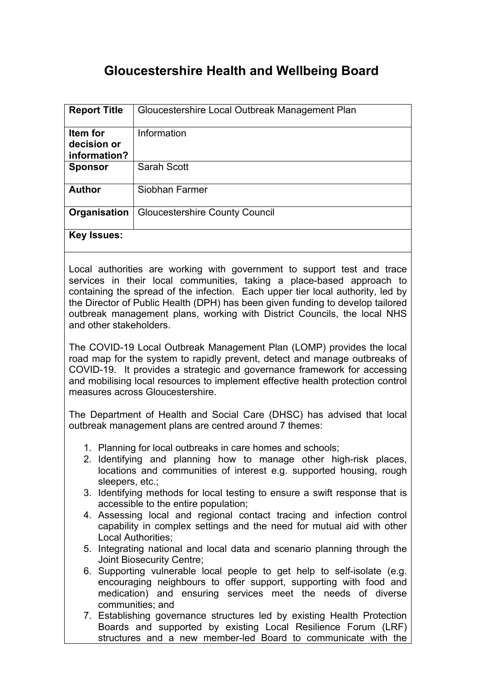# **Gloucestershire Health and Wellbeing Board**

| <b>Report Title</b>                            | Gloucestershire Local Outbreak Management Plan |
|------------------------------------------------|------------------------------------------------|
| <b>Item for</b><br>decision or<br>information? | Information                                    |
| <b>Sponsor</b>                                 | Sarah Scott                                    |
| <b>Author</b>                                  | Siobhan Farmer                                 |
| Organisation                                   | <b>Gloucestershire County Council</b>          |
| <b>Key Issues:</b>                             |                                                |

Local authorities are working with government to support test and trace services in their local communities, taking a place-based approach to containing the spread of the infection. Each upper tier local authority, led by the Director of Public Health (DPH) has been given funding to develop tailored outbreak management plans, working with District Councils, the local NHS and other stakeholders.

The COVID-19 Local Outbreak Management Plan (LOMP) provides the local road map for the system to rapidly prevent, detect and manage outbreaks of COVID-19. It provides a strategic and governance framework for accessing and mobilising local resources to implement effective health protection control measures across Gloucestershire.

The Department of Health and Social Care (DHSC) has advised that local outbreak management plans are centred around 7 themes:

- 1. Planning for local outbreaks in care homes and schools;
- 2. Identifying and planning how to manage other high-risk places, locations and communities of interest e.g. supported housing, rough sleepers, etc.;
- 3. Identifying methods for local testing to ensure a swift response that is accessible to the entire population;
- 4. Assessing local and regional contact tracing and infection control capability in complex settings and the need for mutual aid with other Local Authorities;
- 5. Integrating national and local data and scenario planning through the Joint Biosecurity Centre;
- 6. Supporting vulnerable local people to get help to self-isolate (e.g. encouraging neighbours to offer support, supporting with food and medication) and ensuring services meet the needs of diverse communities; and
- 7. Establishing governance structures led by existing Health Protection Boards and supported by existing Local Resilience Forum (LRF) structures and a new member-led Board to communicate with the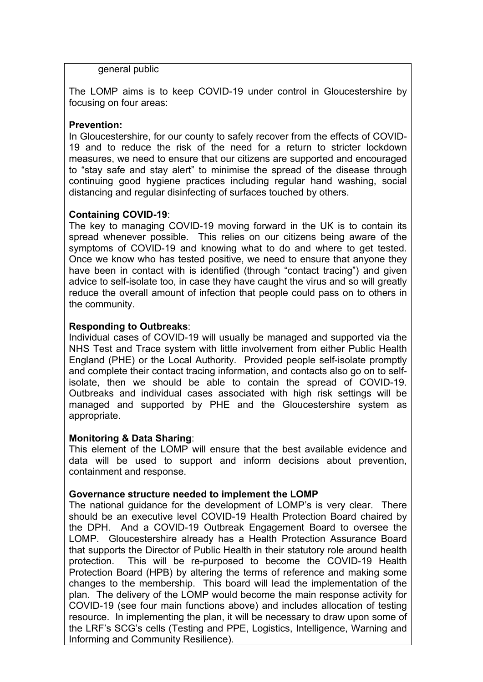general public

The LOMP aims is to keep COVID-19 under control in Gloucestershire by focusing on four areas:

## **Prevention:**

In Gloucestershire, for our county to safely recover from the effects of COVID-19 and to reduce the risk of the need for a return to stricter lockdown measures, we need to ensure that our citizens are supported and encouraged to "stay safe and stay alert" to minimise the spread of the disease through continuing good hygiene practices including regular hand washing, social distancing and regular disinfecting of surfaces touched by others.

## **Containing COVID-19**:

The key to managing COVID-19 moving forward in the UK is to contain its spread whenever possible. This relies on our citizens being aware of the symptoms of COVID-19 and knowing what to do and where to get tested. Once we know who has tested positive, we need to ensure that anyone they have been in contact with is identified (through "contact tracing") and given advice to self-isolate too, in case they have caught the virus and so will greatly reduce the overall amount of infection that people could pass on to others in the community.

## **Responding to Outbreaks**:

Individual cases of COVID-19 will usually be managed and supported via the NHS Test and Trace system with little involvement from either Public Health England (PHE) or the Local Authority. Provided people self-isolate promptly and complete their contact tracing information, and contacts also go on to selfisolate, then we should be able to contain the spread of COVID-19. Outbreaks and individual cases associated with high risk settings will be managed and supported by PHE and the Gloucestershire system as appropriate.

#### **Monitoring & Data Sharing**:

This element of the LOMP will ensure that the best available evidence and data will be used to support and inform decisions about prevention, containment and response.

# **Governance structure needed to implement the LOMP**

The national guidance for the development of LOMP's is very clear. There should be an executive level COVID-19 Health Protection Board chaired by the DPH. And a COVID-19 Outbreak Engagement Board to oversee the LOMP. Gloucestershire already has a Health Protection Assurance Board that supports the Director of Public Health in their statutory role around health protection. This will be re-purposed to become the COVID-19 Health Protection Board (HPB) by altering the terms of reference and making some changes to the membership. This board will lead the implementation of the plan. The delivery of the LOMP would become the main response activity for COVID-19 (see four main functions above) and includes allocation of testing resource. In implementing the plan, it will be necessary to draw upon some of the LRF's SCG's cells (Testing and PPE, Logistics, Intelligence, Warning and Informing and Community Resilience).